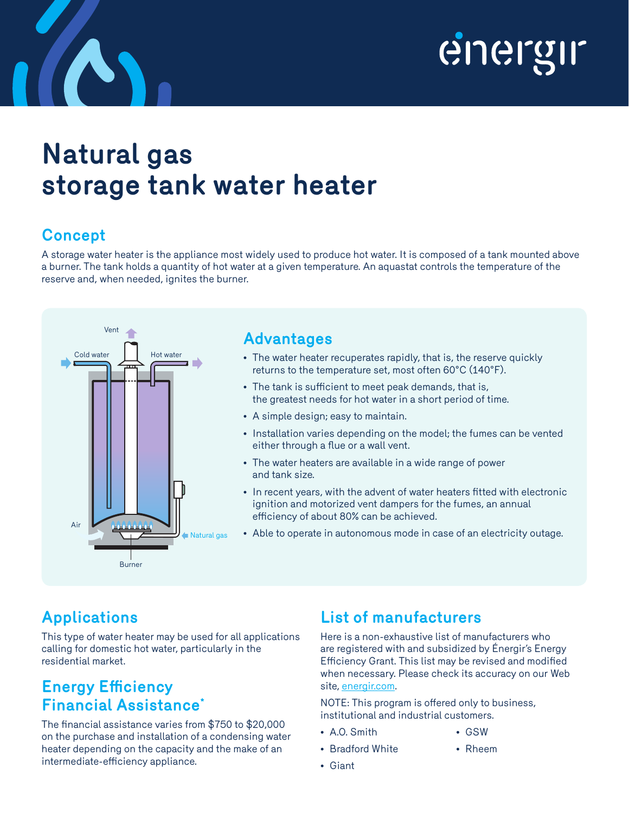

## **Natural gas storage tank water heater**

### **Concept**

A storage water heater is the appliance most widely used to produce hot water. It is composed of a tank mounted above a burner. The tank holds a quantity of hot water at a given temperature. An aquastat controls the temperature of the reserve and, when needed, ignites the burner.



#### **Advantages**

- The water heater recuperates rapidly, that is, the reserve quickly returns to the temperature set, most often 60°C (140°F).
- The tank is sufficient to meet peak demands, that is, the greatest needs for hot water in a short period of time.
- A simple design; easy to maintain.
- Installation varies depending on the model; the fumes can be vented either through a flue or a wall vent.
- The water heaters are available in a wide range of power and tank size.
- In recent years, with the advent of water heaters fitted with electronic ignition and motorized vent dampers for the fumes, an annual efficiency of about 80% can be achieved.
- Able to operate in autonomous mode in case of an electricity outage.

### **Applications**

This type of water heater may be used for all applications calling for domestic hot water, particularly in the residential market.

#### **Energy Efficiency Financial Assistance\***

The financial assistance varies from \$750 to \$20,000 on the purchase and installation of a condensing water heater depending on the capacity and the make of an intermediate-efficiency appliance.

#### **List of manufacturers**

Here is a non-exhaustive list of manufacturers who are registered with and subsidized by Énergir's Energy Efficiency Grant. This list may be revised and modified when necessary. Please check its accuracy on our Web site, energir.com.

NOTE: This program is offered only to business, institutional and industrial customers.

- A.O. Smith
- Bradford White
- GSW • Rheem

• Giant